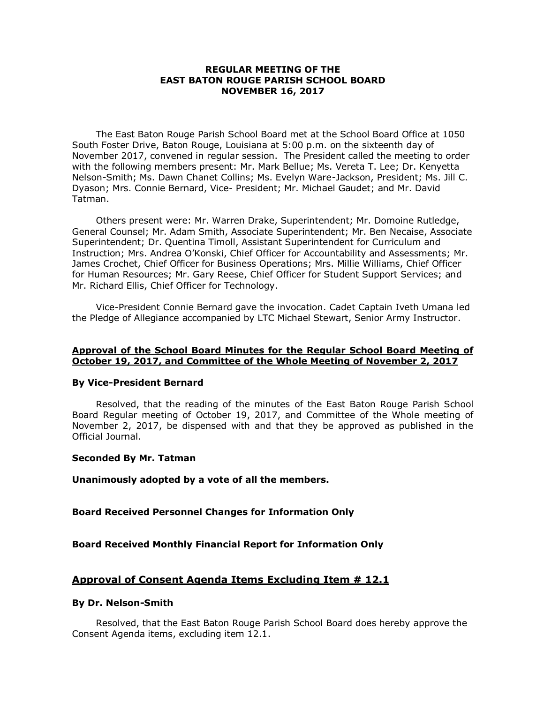# **REGULAR MEETING OF THE EAST BATON ROUGE PARISH SCHOOL BOARD NOVEMBER 16, 2017**

The East Baton Rouge Parish School Board met at the School Board Office at 1050 South Foster Drive, Baton Rouge, Louisiana at 5:00 p.m. on the sixteenth day of November 2017, convened in regular session. The President called the meeting to order with the following members present: Mr. Mark Bellue; Ms. Vereta T. Lee; Dr. Kenyetta Nelson-Smith; Ms. Dawn Chanet Collins; Ms. Evelyn Ware-Jackson, President; Ms. Jill C. Dyason; Mrs. Connie Bernard, Vice- President; Mr. Michael Gaudet; and Mr. David Tatman.

Others present were: Mr. Warren Drake, Superintendent; Mr. Domoine Rutledge, General Counsel; Mr. Adam Smith, Associate Superintendent; Mr. Ben Necaise, Associate Superintendent; Dr. Quentina Timoll, Assistant Superintendent for Curriculum and Instruction; Mrs. Andrea O'Konski, Chief Officer for Accountability and Assessments; Mr. James Crochet, Chief Officer for Business Operations; Mrs. Millie Williams, Chief Officer for Human Resources; Mr. Gary Reese, Chief Officer for Student Support Services; and Mr. Richard Ellis, Chief Officer for Technology.

Vice-President Connie Bernard gave the invocation. Cadet Captain Iveth Umana led the Pledge of Allegiance accompanied by LTC Michael Stewart, Senior Army Instructor.

# **Approval of the School Board Minutes for the Regular School Board Meeting of October 19, 2017, and Committee of the Whole Meeting of November 2, 2017**

## **By Vice-President Bernard**

Resolved, that the reading of the minutes of the East Baton Rouge Parish School Board Regular meeting of October 19, 2017, and Committee of the Whole meeting of November 2, 2017, be dispensed with and that they be approved as published in the Official Journal.

#### **Seconded By Mr. Tatman**

**Unanimously adopted by a vote of all the members.**

# **Board Received Personnel Changes for Information Only**

## **Board Received Monthly Financial Report for Information Only**

## **Approval of Consent Agenda Items Excluding Item # 12.1**

#### **By Dr. Nelson-Smith**

Resolved, that the East Baton Rouge Parish School Board does hereby approve the Consent Agenda items, excluding item 12.1.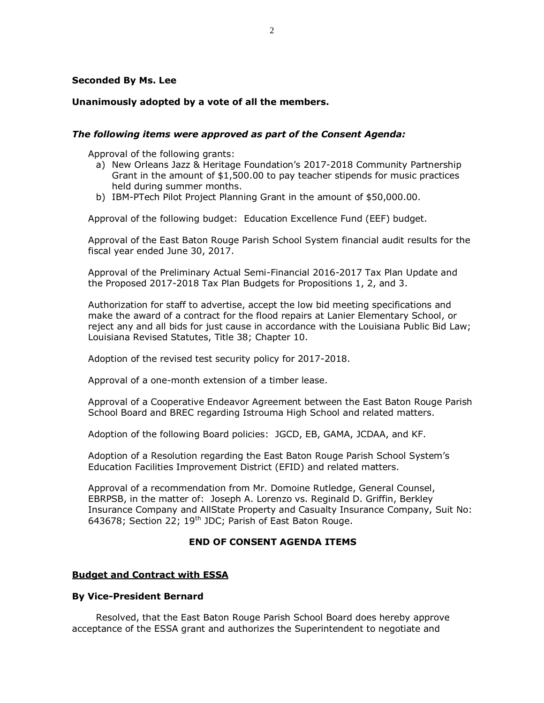# **Seconded By Ms. Lee**

# **Unanimously adopted by a vote of all the members.**

# *The following items were approved as part of the Consent Agenda:*

Approval of the following grants:

- a) New Orleans Jazz & Heritage Foundation's 2017-2018 Community Partnership Grant in the amount of \$1,500.00 to pay teacher stipends for music practices held during summer months.
- b) IBM-PTech Pilot Project Planning Grant in the amount of \$50,000.00.

Approval of the following budget: Education Excellence Fund (EEF) budget.

Approval of the East Baton Rouge Parish School System financial audit results for the fiscal year ended June 30, 2017.

Approval of the Preliminary Actual Semi-Financial 2016-2017 Tax Plan Update and the Proposed 2017-2018 Tax Plan Budgets for Propositions 1, 2, and 3.

Authorization for staff to advertise, accept the low bid meeting specifications and make the award of a contract for the flood repairs at Lanier Elementary School, or reject any and all bids for just cause in accordance with the Louisiana Public Bid Law; Louisiana Revised Statutes, Title 38; Chapter 10.

Adoption of the revised test security policy for 2017-2018.

Approval of a one-month extension of a timber lease.

Approval of a Cooperative Endeavor Agreement between the East Baton Rouge Parish School Board and BREC regarding Istrouma High School and related matters.

Adoption of the following Board policies: JGCD, EB, GAMA, JCDAA, and KF.

Adoption of a Resolution regarding the East Baton Rouge Parish School System's Education Facilities Improvement District (EFID) and related matters.

Approval of a recommendation from Mr. Domoine Rutledge, General Counsel, EBRPSB, in the matter of: Joseph A. Lorenzo vs. Reginald D. Griffin, Berkley Insurance Company and AllState Property and Casualty Insurance Company, Suit No: 643678; Section 22; 19<sup>th</sup> JDC; Parish of East Baton Rouge.

# **END OF CONSENT AGENDA ITEMS**

## **Budget and Contract with ESSA**

## **By Vice-President Bernard**

Resolved, that the East Baton Rouge Parish School Board does hereby approve acceptance of the ESSA grant and authorizes the Superintendent to negotiate and